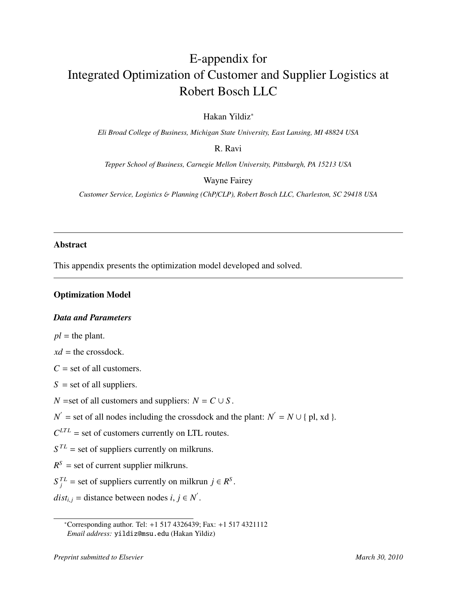# E-appendix for Integrated Optimization of Customer and Supplier Logistics at Robert Bosch LLC

Hakan Yildiz<sup>∗</sup>

*Eli Broad College of Business, Michigan State University, East Lansing, MI 48824 USA*

R. Ravi

*Tepper School of Business, Carnegie Mellon University, Pittsburgh, PA 15213 USA*

Wayne Fairey

*Customer Service, Logistics* & *Planning (ChP*/*CLP), Robert Bosch LLC, Charleston, SC 29418 USA*

## Abstract

This appendix presents the optimization model developed and solved.

## Optimization Model

## *Data and Parameters*

 $pl =$  the plant.

 $xd =$  the crossdock.

 $C =$  set of all customers.

 $S =$  set of all suppliers.

*N* =set of all customers and suppliers:  $N = C \cup S$ .

 $N'$  = set of all nodes including the crossdock and the plant:  $N' = N \cup \{ \text{pl, xd } \}.$ 

 $C^{LTL}$  = set of customers currently on LTL routes.

 $S^{TL}$  = set of suppliers currently on milkruns.

 $R<sup>S</sup>$  = set of current supplier milkruns.

 $S_j^{TL}$  = set of suppliers currently on milkrun *j* ∈ *R*<sup>S</sup>.

 $dist_{i,j}$  = distance between nodes *i*, *j*  $\in$  *N'*.

<sup>∗</sup>Corresponding author. Tel: +1 517 4326439; Fax: +1 517 4321112 *Email address:* yildiz@msu.edu (Hakan Yildiz)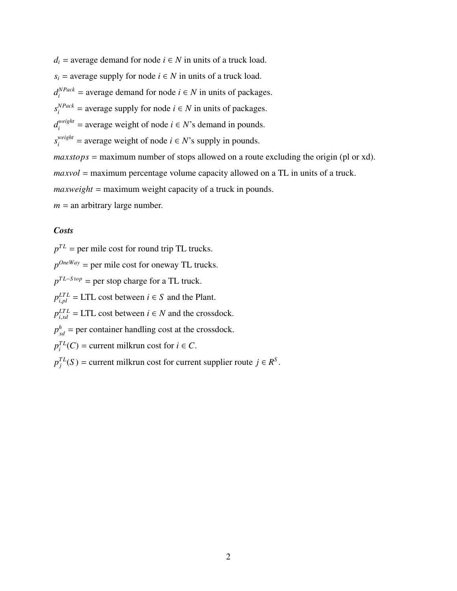$d_i$  = average demand for node  $i \in N$  in units of a truck load.  $s_i$  = average supply for node  $i \in N$  in units of a truck load.  $d_i^{NPack}$  = average demand for node *i* ∈ *N* in units of packages.  $s_i^{NPack}$  = average supply for node *i* ∈ *N* in units of packages.  $d_i^{weight}$  = average weight of node  $i \in N$ 's demand in pounds.  $s_i^{weight}$  = average weight of node *i* ∈ *N*'s supply in pounds. *maxstops* = maximum number of stops allowed on a route excluding the origin (pl or xd). *maxvol* = maximum percentage volume capacity allowed on a TL in units of a truck. *maxweight* = maximum weight capacity of a truck in pounds.  $m =$  an arbitrary large number.

## *Costs*

 $p^{TL}$  = per mile cost for round trip TL trucks.  $p^{OneWay}$  = per mile cost for oneway TL trucks.  $p^{TL-Stop}$  = per stop charge for a TL truck.  $p_{i,pl}^{LTL}$  = LTL cost between *i*  $\in$  *S* and the Plant.  $p_{i,xd}^{LTL}$  = LTL cost between  $i \in N$  and the crossdock.  $p_{xd}^h$  = per container handling cost at the crossdock.  $p_i^{TL}(C)$  = current milkrun cost for *i*  $\in$  *C*.  $p_j^{TL}(S)$  = current milkrun cost for current supplier route *j* ∈ *R*<sup>S</sup>.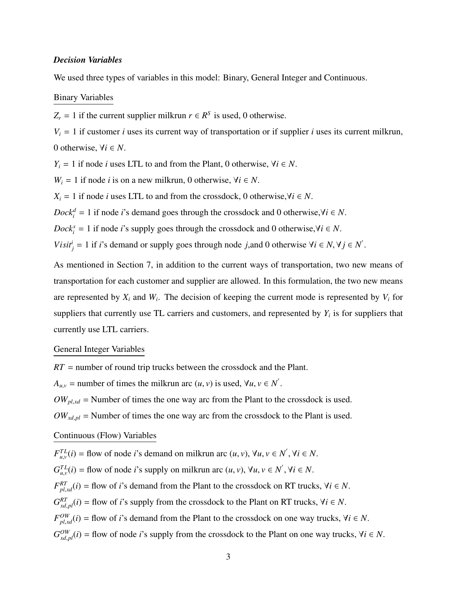## *Decision Variables*

We used three types of variables in this model: Binary, General Integer and Continuous.

#### Binary Variables

 $Z_r = 1$  if the current supplier milkrun  $r \in R^S$  is used, 0 otherwise.

 $V_i = 1$  if customer *i* uses its current way of transportation or if supplier *i* uses its current milkrun, 0 otherwise,  $\forall i \in N$ .

*Y*<sub>*i*</sub> = 1 if node *i* uses LTL to and from the Plant, 0 otherwise,  $\forall i \in N$ .

*W*<sup>*i*</sup> = 1 if node *i* is on a new milkrun, 0 otherwise,  $∀i ∈ N$ .

*X*<sup>*i*</sup> = 1 if node *i* uses LTL to and from the crossdock, 0 otherwise,∀*i* ∈ *N*.

*Dock*<sup>*d*</sup> = 1 if node *i*'s demand goes through the crossdock and 0 otherwise,∀*i* ∈ *N*.

*Dock*<sup>*s*</sup> = 1 if node *i*'s supply goes through the crossdock and 0 otherwise,∀*i* ∈ *N*.

*Visit*<sup>*i*</sup><sub>*j*</sub> = 1 if *i*'s demand or supply goes through node *j*,and 0 otherwise  $\forall i \in N, \forall j \in N'$ .

As mentioned in Section 7, in addition to the current ways of transportation, two new means of transportation for each customer and supplier are allowed. In this formulation, the two new means are represented by  $X_i$  and  $W_i$ . The decision of keeping the current mode is represented by  $V_i$  for suppliers that currently use TL carriers and customers, and represented by  $Y_i$  is for suppliers that currently use LTL carriers.

## General Integer Variables

*RT* = number of round trip trucks between the crossdock and the Plant.  $A_{u,v}$  = number of times the milkrun arc  $(u, v)$  is used,  $\forall u, v \in N'$ .  $OW_{p1,xd}$  = Number of times the one way arc from the Plant to the crossdock is used.  $OW_{xd,pl}$  = Number of times the one way arc from the crossdock to the Plant is used.

## Continuous (Flow) Variables

 $F_{u,v}^{TL}(i) =$  flow of node *i*'s demand on milkrun arc  $(u, v)$ ,  $\forall u, v \in N'$ ,  $\forall i \in N$ .  $G_{u,v}^{TL}(i) =$  flow of node *i*'s supply on milkrun arc  $(u, v)$ ,  $\forall u, v \in N'$ ,  $\forall i \in N$ .  $F_{p,l,xd}^{RT}(i)$  = flow of *i*'s demand from the Plant to the crossdock on RT trucks,  $\forall i \in N$ .  $G_{xd,pl}^{RT}(i)$  = flow of *i*'s supply from the crossdock to the Plant on RT trucks,  $\forall i \in N$ .  $F_{p,l,xd}^{OW}(i)$  = flow of *i*'s demand from the Plant to the crossdock on one way trucks,  $\forall i \in N$ .  $G_{xd,pl}^{OW}(i)$  = flow of node *i*'s supply from the crossdock to the Plant on one way trucks,  $\forall i \in N$ .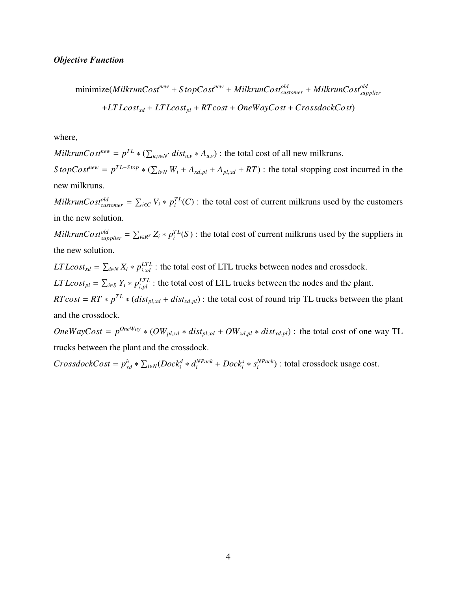$$
\begin{aligned}\n\text{minimize} (MilkrunCost^{new} + StopCost^{new} + MilkrunCost^{old}_{customer} + MilkrunCost^{old}_{supplier} \\
&\quad + LTLcost_{xd} + LTLcost_{pl} + RTcost + OneWayCost + CrosslockCost)\n\end{aligned}
$$

where,

*MilkrunCost<sup>new</sup>* =  $p^{TL} * (\sum$  $u, v \in N'$  *dist<sub>u,</sub>v* \*  $A_{u,v}$ ) : the total cost of all new milkruns.  $S \text{ to } p \text{C} \text{ of } t^{new} = p^{TL-S \text{ top}} * (\sum_{i=1}^{n} p_{i} \text{ of } t^{new})$  $\hat{H}_{i \in N}$   $W_i + A_{xd,pl} + A_{pl,xd} + RT$ ) : the total stopping cost incurred in the new milkruns.

*MilkrunCostold customer* =  $\overline{ }$  $E_{i\in C}$  *V*<sub>*i*</sub> \*  $p_i^{TL}(C)$  : the total cost of current milkruns used by the customers in the new solution.

*MilkrunCostold supplier* =  $\overline{ }$  $\int_{i \in \mathbb{R}^S} Z_i * p_i^{TL}(S)$ : the total cost of current milkruns used by the suppliers in the new solution.

 $LTLcost_{xd} =$  $\overline{ }$  $E_{i \in N} X_i * p_{i,xd}^{LTL}$ : the total cost of LTL trucks between nodes and crossdock.  $LTLcost_{pl} =$  $\overline{ }$  $E_{i\in S}$  *Y<sub>i</sub>* \*  $p_{i,pl}^{LTL}$  : the total cost of LTL trucks between the nodes and the plant.  $RTcost = RT * p^{TL} * (dist_{pl,xd} + dist_{xd,pl})$ : the total cost of round trip TL trucks between the plant and the crossdock.

*OneWayCost* =  $p^{OneWay} * (OW_{pl,xd} * dist_{pl,xd} + OW_{xd,pl} * dist_{xd,pl})$ : the total cost of one way TL trucks between the plant and the crossdock.

 $CrosslockCost = p_{xd}^h$  \*  $\sum_{i \in \mathbb{N}} (Dock_i^d * d_i^{NPack} + Dock_i^s * s_i^{NPack}$  $\binom{NPack}{i}$  : total crossdock usage cost.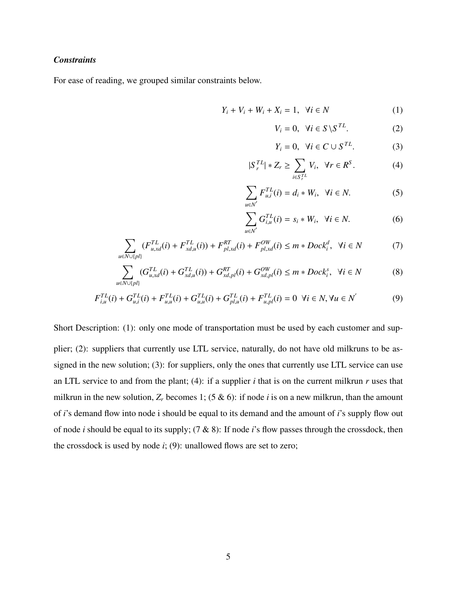## *Constraints*

For ease of reading, we grouped similar constraints below.

$$
Y_i + V_i + W_i + X_i = 1, \quad \forall i \in N
$$
 (1)

$$
V_i = 0, \quad \forall i \in S \setminus S^{TL}.\tag{2}
$$

$$
Y_i = 0, \quad \forall i \in C \cup S^{TL}.\tag{3}
$$

$$
|S_r^{TL}| * Z_r \ge \sum_{i \in S_r^{TL}} V_i, \ \forall r \in R^S.
$$
 (4)

$$
\sum_{u \in N'} F_{u,i}^{TL}(i) = d_i * W_i, \ \forall i \in N.
$$
 (5)

$$
\sum_{u \in N'} G_{i,u}^{TL}(i) = s_i * W_i, \ \forall i \in N.
$$
 (6)

$$
\sum_{u \in N \cup \{pl\}} (F_{u,xd}^{TL}(i) + F_{xd,u}^{TL}(i)) + F_{pl,xd}^{RT}(i) + F_{pl,xd}^{OW}(i) \le m * Dock_i^d, \ \forall i \in N
$$
 (7)

$$
\sum_{u \in N \cup \{pl\}} (G_{u,xd}^{TL}(i) + G_{xd,u}^{TL}(i)) + G_{xd,pl}^{RT}(i) + G_{xd,pl}^{OW}(i) \le m * Dock_i^s, \ \forall i \in N
$$
 (8)

$$
F_{i,u}^{TL}(i) + G_{u,i}^{TL}(i) + F_{u,u}^{TL}(i) + G_{u,u}^{TL}(i) + G_{p,l,u}^{TL}(i) + F_{u,pl}^{TL}(i) = 0 \ \forall i \in \mathbb{N}, \forall u \in \mathbb{N}^{'}
$$
 (9)

Short Description: (1): only one mode of transportation must be used by each customer and supplier; (2): suppliers that currently use LTL service, naturally, do not have old milkruns to be assigned in the new solution; (3): for suppliers, only the ones that currently use LTL service can use an LTL service to and from the plant; (4): if a supplier *i* that is on the current milkrun *r* uses that milkrun in the new solution,  $Z_r$  becomes 1; (5 & 6): if node *i* is on a new milkrun, than the amount of *i*'s demand flow into node i should be equal to its demand and the amount of *i*'s supply flow out of node *i* should be equal to its supply; (7 & 8): If node *i*'s flow passes through the crossdock, then the crossdock is used by node  $i$ ; (9): unallowed flows are set to zero;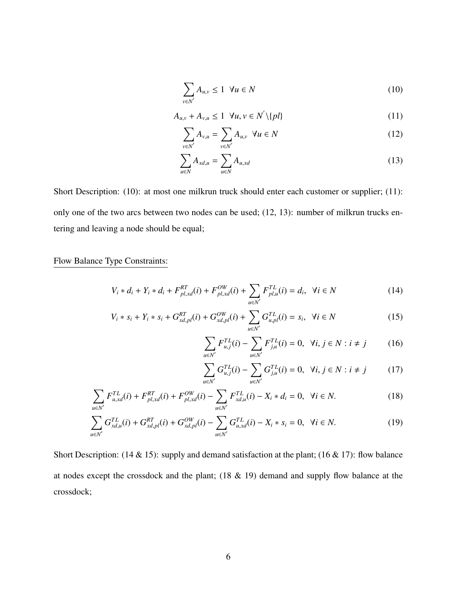$$
\sum_{v \in N'} A_{u,v} \le 1 \ \forall u \in N \tag{10}
$$

$$
A_{u,v} + A_{v,u} \le 1 \quad \forall u, v \in N' \setminus \{pl\} \tag{11}
$$

$$
\sum_{v \in N'} A_{v,u} = \sum_{v \in N'} A_{u,v} \quad \forall u \in N
$$
\n(12)

$$
\sum_{u \in N} A_{xd,u} = \sum_{u \in N} A_{u,xd} \tag{13}
$$

Short Description: (10): at most one milkrun truck should enter each customer or supplier; (11): only one of the two arcs between two nodes can be used; (12, 13): number of milkrun trucks entering and leaving a node should be equal;

## Flow Balance Type Constraints:

$$
V_i * d_i + Y_i * d_i + F_{pl,xd}^{RT}(i) + F_{pl,xd}^{OW}(i) + \sum_{u \in N'} F_{pl,u}^{TL}(i) = d_i, \ \forall i \in N
$$
 (14)

$$
V_i * s_i + Y_i * s_i + G_{xd,pl}^{RT}(i) + G_{xd,pl}^{OW}(i) + \sum_{u \in N'} G_{u,pl}^{TL}(i) = s_i, \ \forall i \in N
$$
 (15)

$$
\sum_{u \in N'} F_{u,j}^{TL}(i) - \sum_{u \in N'} F_{j,u}^{TL}(i) = 0, \ \forall i, j \in N : i \neq j \tag{16}
$$

$$
\sum_{u \in N'} G_{u,j}^{TL}(i) - \sum_{u \in N'} G_{j,u}^{TL}(i) = 0, \ \forall i, j \in N : i \neq j \tag{17}
$$

$$
\sum_{u \in N'} F_{u,xd}^{TL}(i) + F_{pl,xd}^{RT}(i) + F_{pl,xd}^{OW}(i) - \sum_{u \in N'} F_{xd,u}^{TL}(i) - X_i * d_i = 0, \ \forall i \in N.
$$
 (18)

$$
\sum_{u \in N'} G_{xd,u}^{TL}(i) + G_{xd,pl}^{RT}(i) + G_{xd,pl}^{OW}(i) - \sum_{u \in N'} G_{u,xd}^{TL}(i) - X_i * s_i = 0, \ \forall i \in N.
$$
 (19)

Short Description: (14 & 15): supply and demand satisfaction at the plant; (16 & 17): flow balance at nodes except the crossdock and the plant; (18 & 19) demand and supply flow balance at the crossdock;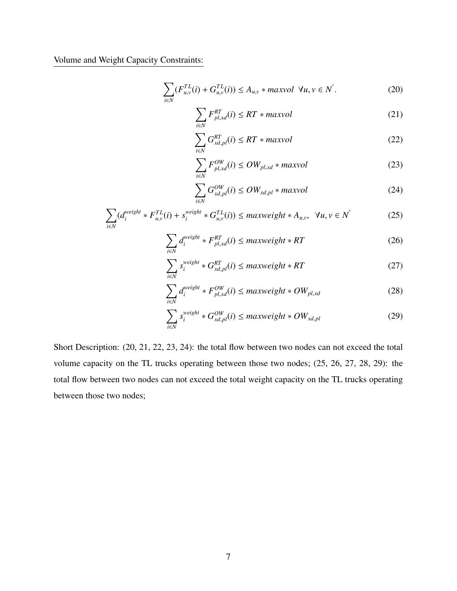Volume and Weight Capacity Constraints:

$$
\sum_{i \in N} (F_{u,v}^{TL}(i) + G_{u,v}^{TL}(i)) \le A_{u,v} * maxvol \ \forall u, v \in N'.
$$
 (20)

$$
\sum_{i \in N} F_{pl,xd}^{RT}(i) \le RT * maxvol \tag{21}
$$

$$
\sum_{i \in N} G_{xd,pl}^{RT}(i) \le RT * maxvol \tag{22}
$$

$$
\sum_{i \in N} F_{pl, xd}^{OW}(i) \leq OW_{pl, xd} * maxvol \tag{23}
$$

$$
\sum_{i \in N} G_{xd,pl}^{OW}(i) \leq OW_{xd,pl} * maxvol \tag{24}
$$

$$
\sum_{i \in N} (d_i^{weight} * F_{u,v}^{TL}(i) + s_i^{weight} * G_{u,v}^{TL}(i)) \leq maxweight * A_{u,v}, \ \forall u, v \in N' \tag{25}
$$

$$
\sum_{i \in N} d_i^{weight} * F_{pl, xd}^{RT}(i) \leq maxweight * RT
$$
 (26)

$$
\sum_{i \in N} s_i^{weight} * G_{xd,pl}^{RT}(i) \leq maxweight * RT
$$
 (27)

$$
\sum_{i \in N} d_i^{weight} * F_{pl, xd}^{OW}(i) \leq maxweight * OW_{pl, xd}
$$
\n(28)

$$
\sum_{i \in N} s_i^{weight} * G_{xd,pl}^{OW}(i) \leq maxweight * OW_{xd,pl}
$$
 (29)

Short Description: (20, 21, 22, 23, 24): the total flow between two nodes can not exceed the total volume capacity on the TL trucks operating between those two nodes; (25, 26, 27, 28, 29): the total flow between two nodes can not exceed the total weight capacity on the TL trucks operating between those two nodes;